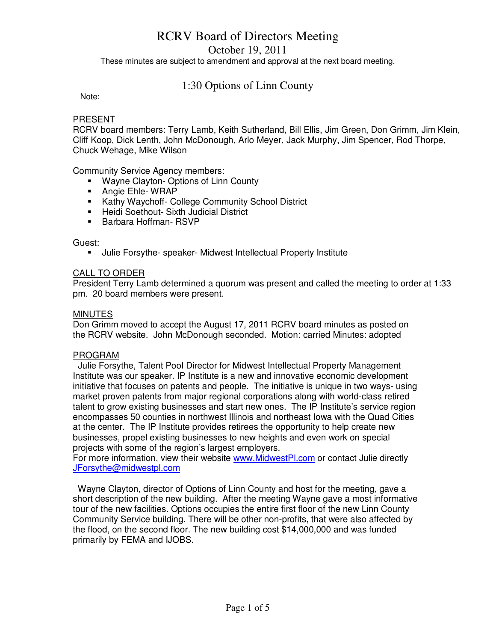October 19, 2011

These minutes are subject to amendment and approval at the next board meeting.

## 1:30 Options of Linn County

Note:

#### PRESENT

RCRV board members: Terry Lamb, Keith Sutherland, Bill Ellis, Jim Green, Don Grimm, Jim Klein, Cliff Koop, Dick Lenth, John McDonough, Arlo Meyer, Jack Murphy, Jim Spencer, Rod Thorpe, Chuck Wehage, Mike Wilson

Community Service Agency members:

- **Wayne Clayton- Options of Linn County**
- **Angie Ehle- WRAP**
- **Kathy Waychoff- College Community School District**
- **Heidi Soethout- Sixth Judicial District**
- **Barbara Hoffman- RSVP**

Guest:

Julie Forsythe- speaker- Midwest Intellectual Property Institute

#### CALL TO ORDER

President Terry Lamb determined a quorum was present and called the meeting to order at 1:33 pm. 20 board members were present.

#### **MINUTES**

Don Grimm moved to accept the August 17, 2011 RCRV board minutes as posted on the RCRV website. John McDonough seconded. Motion: carried Minutes: adopted

#### PROGRAM

 Julie Forsythe, Talent Pool Director for Midwest Intellectual Property Management Institute was our speaker. IP Institute is a new and innovative economic development initiative that focuses on patents and people. The initiative is unique in two ways- using market proven patents from major regional corporations along with world-class retired talent to grow existing businesses and start new ones. The IP Institute's service region encompasses 50 counties in northwest Illinois and northeast Iowa with the Quad Cities at the center. The IP Institute provides retirees the opportunity to help create new businesses, propel existing businesses to new heights and even work on special projects with some of the region's largest employers.

For more information, view their website www.MidwestPl.com or contact Julie directly JForsythe@midwestpl.com

 Wayne Clayton, director of Options of Linn County and host for the meeting, gave a short description of the new building. After the meeting Wayne gave a most informative tour of the new facilities. Options occupies the entire first floor of the new Linn County Community Service building. There will be other non-profits, that were also affected by the flood, on the second floor. The new building cost \$14,000,000 and was funded primarily by FEMA and IJOBS.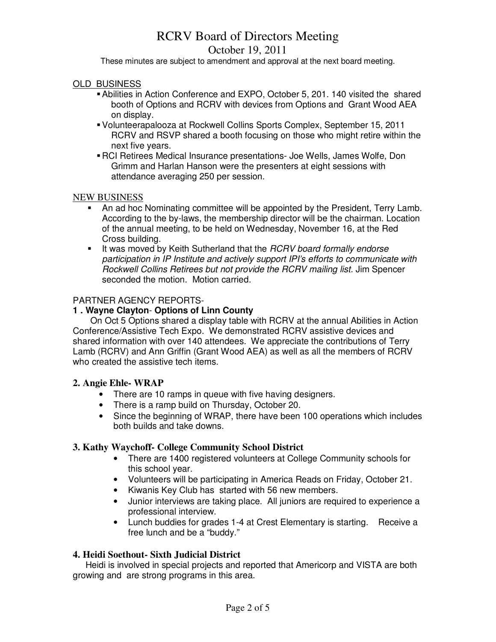## October 19, 2011

These minutes are subject to amendment and approval at the next board meeting.

### OLD BUSINESS

- Abilities in Action Conference and EXPO, October 5, 201. 140 visited the shared booth of Options and RCRV with devices from Options and Grant Wood AEA on display.
- Volunteerapalooza at Rockwell Collins Sports Complex, September 15, 2011 RCRV and RSVP shared a booth focusing on those who might retire within the next five years.
- RCI Retirees Medical Insurance presentations- Joe Wells, James Wolfe, Don Grimm and Harlan Hanson were the presenters at eight sessions with attendance averaging 250 per session.

#### NEW BUSINESS

- An ad hoc Nominating committee will be appointed by the President, Terry Lamb. According to the by-laws, the membership director will be the chairman. Location of the annual meeting, to be held on Wednesday, November 16, at the Red Cross building.
- It was moved by Keith Sutherland that the RCRV board formally endorse participation in IP Institute and actively support IPI's efforts to communicate with Rockwell Collins Retirees but not provide the RCRV mailing list. Jim Spencer seconded the motion. Motion carried.

## PARTNER AGENCY REPORTS-

## **1 . Wayne Clayton**- **Options of Linn County**

 On Oct 5 Options shared a display table with RCRV at the annual Abilities in Action Conference/Assistive Tech Expo. We demonstrated RCRV assistive devices and shared information with over 140 attendees. We appreciate the contributions of Terry Lamb (RCRV) and Ann Griffin (Grant Wood AEA) as well as all the members of RCRV who created the assistive tech items.

## **2. Angie Ehle- WRAP**

- There are 10 ramps in queue with five having designers.
- There is a ramp build on Thursday, October 20.
- Since the beginning of WRAP, there have been 100 operations which includes both builds and take downs.

## **3. Kathy Waychoff- College Community School District**

- There are 1400 registered volunteers at College Community schools for this school year.
- Volunteers will be participating in America Reads on Friday, October 21.
- Kiwanis Key Club has started with 56 new members.
- Junior interviews are taking place. All juniors are required to experience a professional interview.
- Lunch buddies for grades 1-4 at Crest Elementary is starting. Receive a free lunch and be a "buddy."

## **4. Heidi Soethout- Sixth Judicial District**

 Heidi is involved in special projects and reported that Americorp and VISTA are both growing and are strong programs in this area.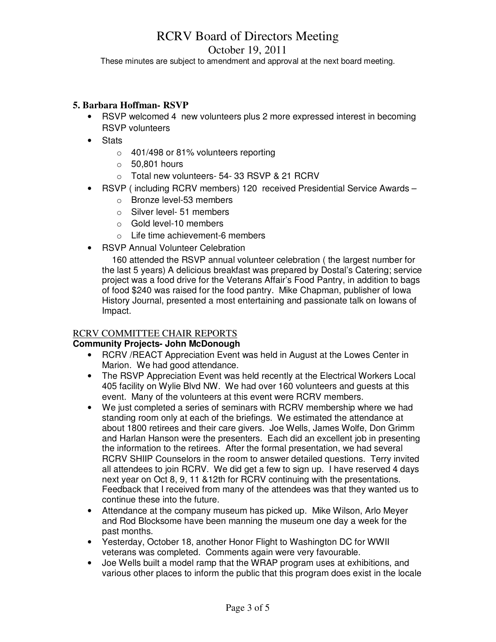## October 19, 2011

These minutes are subject to amendment and approval at the next board meeting.

### **5. Barbara Hoffman- RSVP**

- RSVP welcomed 4 new volunteers plus 2 more expressed interest in becoming RSVP volunteers
- Stats
	- o 401/498 or 81% volunteers reporting
	- $\circ$  50.801 hours
	- $\circ$  Total new volunteers- 54- 33 RSVP & 21 RCRV
- RSVP ( including RCRV members) 120 received Presidential Service Awards
	- o Bronze level-53 members
	- o Silver level- 51 members
	- o Gold level-10 members
	- o Life time achievement-6 members
- RSVP Annual Volunteer Celebration

 160 attended the RSVP annual volunteer celebration ( the largest number for the last 5 years) A delicious breakfast was prepared by Dostal's Catering; service project was a food drive for the Veterans Affair's Food Pantry, in addition to bags of food \$240 was raised for the food pantry. Mike Chapman, publisher of Iowa History Journal, presented a most entertaining and passionate talk on Iowans of Impact.

#### RCRV COMMITTEE CHAIR REPORTS

#### **Community Projects- John McDonough**

- RCRV /REACT Appreciation Event was held in August at the Lowes Center in Marion. We had good attendance.
- The RSVP Appreciation Event was held recently at the Electrical Workers Local 405 facility on Wylie Blvd NW. We had over 160 volunteers and guests at this event. Many of the volunteers at this event were RCRV members.
- We just completed a series of seminars with RCRV membership where we had standing room only at each of the briefings. We estimated the attendance at about 1800 retirees and their care givers. Joe Wells, James Wolfe, Don Grimm and Harlan Hanson were the presenters. Each did an excellent job in presenting the information to the retirees. After the formal presentation, we had several RCRV SHIIP Counselors in the room to answer detailed questions. Terry invited all attendees to join RCRV. We did get a few to sign up. I have reserved 4 days next year on Oct 8, 9, 11 &12th for RCRV continuing with the presentations. Feedback that I received from many of the attendees was that they wanted us to continue these into the future.
- Attendance at the company museum has picked up. Mike Wilson, Arlo Meyer and Rod Blocksome have been manning the museum one day a week for the past months.
- Yesterday, October 18, another Honor Flight to Washington DC for WWII veterans was completed. Comments again were very favourable.
- Joe Wells built a model ramp that the WRAP program uses at exhibitions, and various other places to inform the public that this program does exist in the locale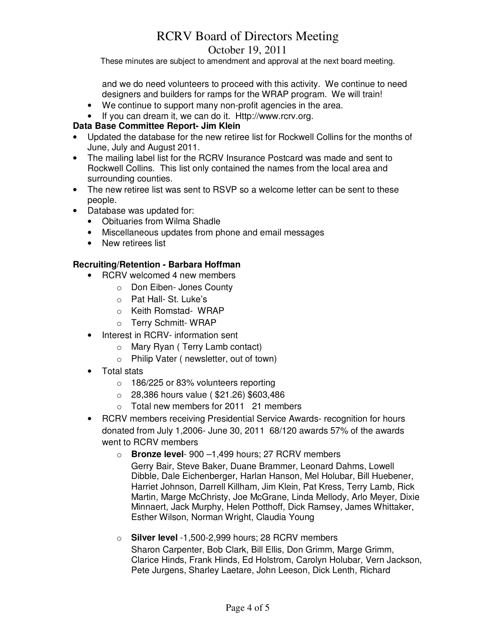October 19, 2011

These minutes are subject to amendment and approval at the next board meeting.

and we do need volunteers to proceed with this activity. We continue to need designers and builders for ramps for the WRAP program. We will train!

- We continue to support many non-profit agencies in the area.
- If you can dream it, we can do it. Http://www.rcrv.org.

## **Data Base Committee Report- Jim Klein**

- Updated the database for the new retiree list for Rockwell Collins for the months of June, July and August 2011.
- The mailing label list for the RCRV Insurance Postcard was made and sent to Rockwell Collins. This list only contained the names from the local area and surrounding counties.
- The new retiree list was sent to RSVP so a welcome letter can be sent to these people.
- Database was updated for:
	- Obituaries from Wilma Shadle
	- Miscellaneous updates from phone and email messages
	- New retirees list

## **Recruiting/Retention - Barbara Hoffman**

- RCRV welcomed 4 new members
	- o Don Eiben- Jones County
	- o Pat Hall- St. Luke's
	- o Keith Romstad- WRAP
	- o Terry Schmitt- WRAP
- Interest in RCRV- information sent
	- o Mary Ryan ( Terry Lamb contact)
	- o Philip Vater ( newsletter, out of town)
- Total stats
	- o 186/225 or 83% volunteers reporting
	- o 28,386 hours value ( \$21.26) \$603,486
	- o Total new members for 2011 21 members
- RCRV members receiving Presidential Service Awards- recognition for hours donated from July 1,2006- June 30, 2011 68/120 awards 57% of the awards went to RCRV members
	- o **Bronze level** 900 –1,499 hours; 27 RCRV members

Gerry Bair, Steve Baker, Duane Brammer, Leonard Dahms, Lowell Dibble, Dale Eichenberger, Harlan Hanson, Mel Holubar, Bill Huebener, Harriet Johnson, Darrell Killham, Jim Klein, Pat Kress, Terry Lamb, Rick Martin, Marge McChristy, Joe McGrane, Linda Mellody, Arlo Meyer, Dixie Minnaert, Jack Murphy, Helen Potthoff, Dick Ramsey, James Whittaker, Esther Wilson, Norman Wright, Claudia Young

o **Silver level** -1,500-2,999 hours; 28 RCRV members Sharon Carpenter, Bob Clark, Bill Ellis, Don Grimm, Marge Grimm, Clarice Hinds, Frank Hinds, Ed Holstrom, Carolyn Holubar, Vern Jackson, Pete Jurgens, Sharley Laetare, John Leeson, Dick Lenth, Richard